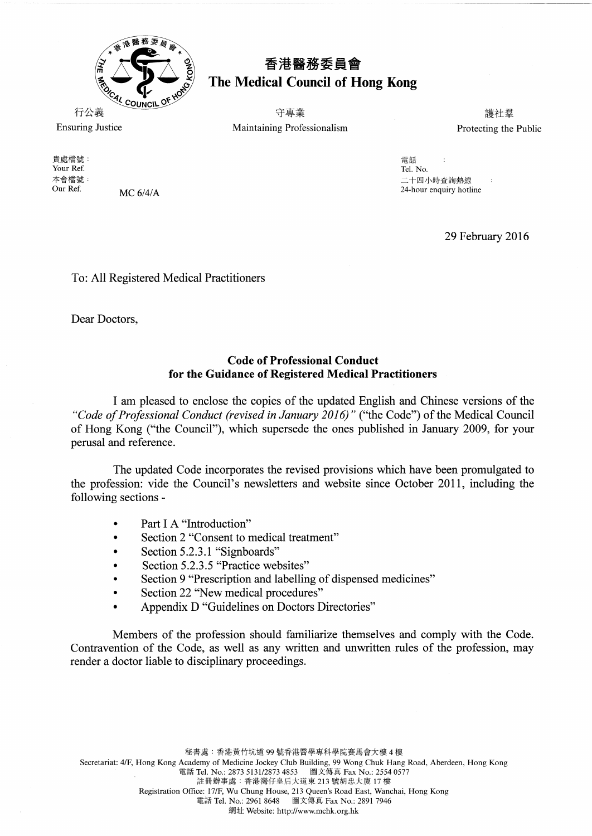

## 香港醫務委員會<br>The Medical Council of Hong Kong

**行公義 しょうこう こうしょう こうしょう うきょう うまつ きょうきょう うきょうきょう きょうきょう きょうきょうきょう きょうきょう** きょうしょう きょうしょう Ensuring Justice Maintaining Professionalism Protecting the Public

Your Ref. (1998)<br>本會檔號: (1998)<br>Tel. No. (24-hour enquiry hotline 6/4/A (1999)<br>Our Ref. (1999) MC 6/4/A (1999) MC 6/4/A (1999) MC 1999) MC 1999 MC 1999 MC 1999 MC 1999 MC 1999 MC 1999 MC 19

29 February 2016

:Jt~fl!t~: "lli:ii\li **The Vour Ref.** The Vour Ref. Solution of the Vour Present Control of the Vour Present Control of the Vour Present Control of the Vour Present Control of the Vour Present Control of the Vour Present Control of the Vour Pre

To: All Registered Medical Practitioners

Dear Doctors,

## **Code of Professional Conduct for the Guidance of Registered Medical Practitioners**

I am pleased to enclose the copies of the updated English and Chinese versions of the *"Code ofProfessional Conduct (revised in January 2016)"* ("the Code") of the Medical Council of Hong Kong ("the Council"), which supersede the ones published in January 2009, for your perusal and reference.

The updated Code incorporates the revised provisions which have been promulgated to the profession: vide the Council's newsletters and website since October 2011, including the following sections

- Part I A "Introduction"
- Section 2 "Consent to medical treatment"
- Section 5.2.3.1 "Signboards"
- Section 5.2.3.5 "Practice websites"
- Section 9 "Prescription and labelling of dispensed medicines"
- Section 22 "New medical procedures"
- Appendix D "Guidelines on Doctors Directories"

Members of the profession should familiarize themselves and comply with the Code. Contravention of the Code, as well as any written and unwritten rules of the profession, may render a doctor liable to disciplinary proceedings.